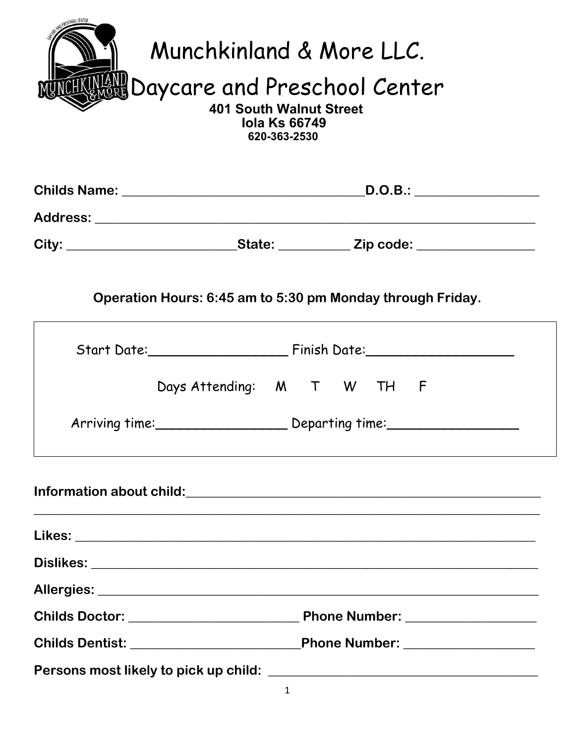| Munchkinland & More LLC.<br><b>INGNY Daycare and Preschool Center</b><br><b>401 South Walnut Street</b><br><b>Iola Ks 66749</b><br>620-363-2530 |                                                                                          |  |
|-------------------------------------------------------------------------------------------------------------------------------------------------|------------------------------------------------------------------------------------------|--|
|                                                                                                                                                 |                                                                                          |  |
|                                                                                                                                                 |                                                                                          |  |
|                                                                                                                                                 | City: _______________________________State: _____________Zip code: _____________         |  |
|                                                                                                                                                 | Operation Hours: 6:45 am to 5:30 pm Monday through Friday.                               |  |
|                                                                                                                                                 |                                                                                          |  |
|                                                                                                                                                 | Days Attending: M T W TH F<br>Arriving time:_____________________ Departing time:_______ |  |
|                                                                                                                                                 |                                                                                          |  |
|                                                                                                                                                 |                                                                                          |  |
|                                                                                                                                                 |                                                                                          |  |
|                                                                                                                                                 |                                                                                          |  |
|                                                                                                                                                 |                                                                                          |  |
|                                                                                                                                                 |                                                                                          |  |
|                                                                                                                                                 |                                                                                          |  |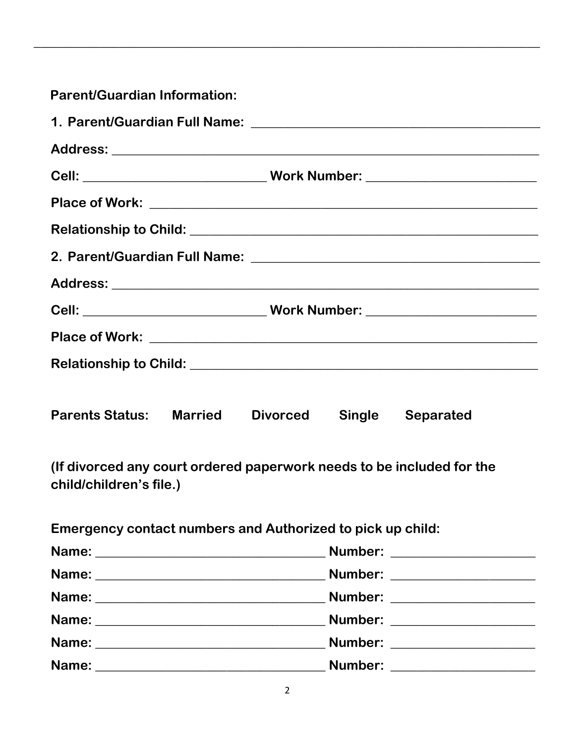| <b>Parent/Guardian Information:</b>                                                              |
|--------------------------------------------------------------------------------------------------|
|                                                                                                  |
|                                                                                                  |
|                                                                                                  |
|                                                                                                  |
|                                                                                                  |
|                                                                                                  |
|                                                                                                  |
|                                                                                                  |
|                                                                                                  |
|                                                                                                  |
| <b>Parents Status: Married</b><br><b>Divorced</b><br><b>Single</b><br><b>Separated</b>           |
| (If divorced any court ordered paperwork needs to be included for the<br>child/children's file.) |
| Emergency contact numbers and Authorized to pick up child:                                       |
|                                                                                                  |
|                                                                                                  |
|                                                                                                  |
|                                                                                                  |
|                                                                                                  |
|                                                                                                  |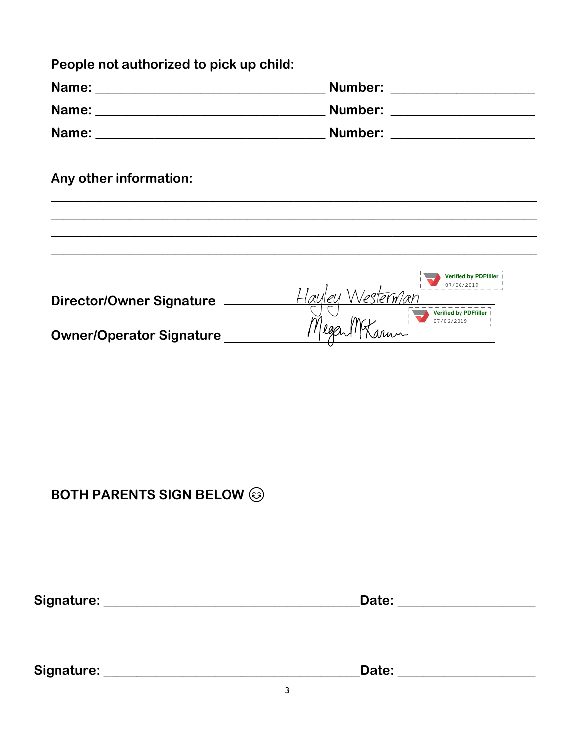| People not authorized to pick up child: |                               |
|-----------------------------------------|-------------------------------|
|                                         | Number: _____________________ |
|                                         | Number: ____________________  |
|                                         |                               |
| Any other information:                  |                               |
|                                         |                               |

|                                 | <b>Verified by PDFfiller</b><br>07/06/2019<br>100 |
|---------------------------------|---------------------------------------------------|
| <b>Director/Owner Signature</b> | <b>Verified by PDFfiller</b><br>07/06/2019        |
| <b>Owner/Operator Signature</b> |                                                   |

#### **BOTH PARENTS SIGN BELOW @**

Date: \_\_\_\_\_\_\_\_\_\_\_\_\_\_\_\_\_\_\_\_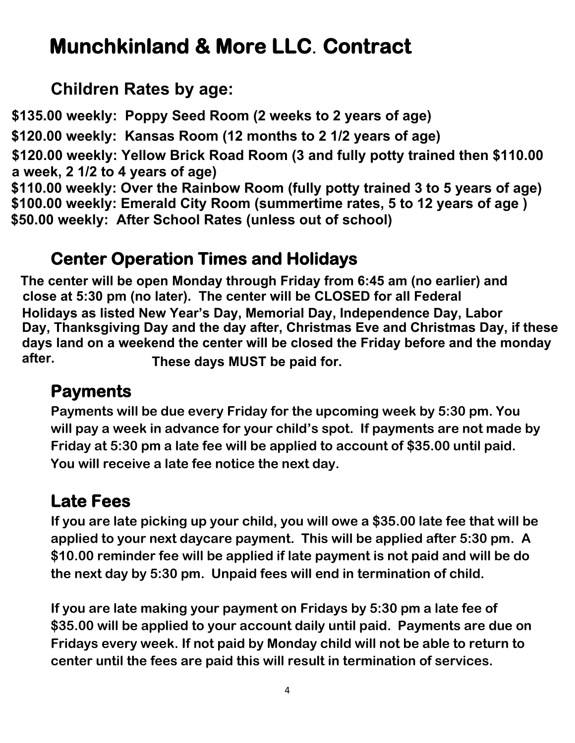## **Munchkinland & More LLC. Contract**

#### **Children Rates by age: Children Rates by age:**

**\$135.00 weekly: Poppy Seed Room (2 weeks to 2 years of age)**

**\$125.00 weekly: 2 weeks to 18 months rate \$130.00 weekly: 2 weeks to 18 months rate \$120.00 weekly: Kansas Room (12 months to 2 1/2 years of age)** 

**\$105.00 weekly: 18 months to 3 and Potty Trained rate \$110.00 weekly: 18 months to 3 and Potty Trained rate \$120.00 weekly: Yellow Brick Road Room (3 and fully potty trained then \$110.00 a week, 2 1/2 to 4 years of age)**

a week, 2 1/2 to <del>-</del> years or age*)*<br>\$110.00 weekly: Over the Rainbow Room (fully potty trained 3 to 5 years of age) \$100.00 weekly: Emerald City Room (summertime rates, 5 to 12 years of age) \$50.00 weekly: After School Rates (unless out of school)

### **Center Operation Times and Holidays**

**The center will be open Monday through Friday from 6:45 am (no earlier) and The center will be open Monday through Friday from 6:45 am (no earlier) and close at 5:30 pm (no later). The center will be CLOSED for all Federal close at 5:30 pm (no later). The center will be CLOSED for all Federal Holidays as listed New Year's Day, Memorial Day, Independence Day, Labor Holidays as listed New Year's Day, Memorial Day, Independence Day, Labor Day, Thanksgiving Day and the day after, Christmas Eve and Christmas Day. Day, Thanksgiving Day and the day after, Christmas Eve and Christmas Day, if these**  days land on a weekend the center will be closed the Friday before and the monday<br>**after. These days MUST be paid for.** 

### **Payments**

**Payments will be due every Friday for the upcoming week by 5:30 pm. You will pay a week in advance for your child's spot. If payments are not made by Friday at 5:30 pm a late fee will be applied to account of \$35.00 until paid. You will receive a late fee notice the next day.** 

### **Late Fees**

**If you are late picking up your child, you will owe a \$35.00 late fee that will be applied to your next daycare payment. This will be applied after 5:30 pm. A \$10.00 reminder fee will be applied if late payment is not paid and will be do the next day by 5:30 pm. Unpaid fees will end in termination of child.** 

**If you are late making your payment on Fridays by 5:30 pm a late fee of \$35.00 will be applied to your account daily until paid. Payments are due on Fridays every week. If not paid by Monday child will not be able to return to center until the fees are paid this will result in termination of services.**